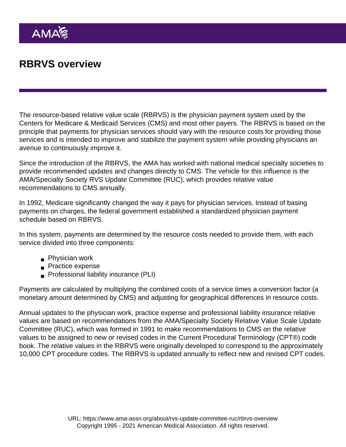# RBRVS overview

The resource-based relative value scale (RBRVS) is the physician payment system used by the Centers for Medicare & Medicaid Services (CMS) and most other payers. The RBRVS is based on the principle that payments for physician services should vary with the resource costs for providing those services and is intended to improve and stabilize the payment system while providing physicians an avenue to continuously improve it.

Since the introduction of the RBRVS, the AMA has worked with national medical specialty societies to provide recommended updates and changes directly to CMS. The vehicle for this influence is the AMA/Specialty Society RVS Update Committee (RUC), which provides relative value recommendations to CMS annually.

In 1992, Medicare significantly changed the way it pays for physician services. Instead of basing payments on charges, the federal government established a standardized physician payment schedule based on RBRVS.

In this system, payments are determined by the resource costs needed to provide them, with each service divided into three components:

- Physician work
- **Practice expense**
- **Professional liability insurance (PLI)**

Payments are calculated by multiplying the combined costs of a service times a conversion factor (a monetary amount determined by CMS) and adjusting for geographical differences in resource costs.

Annual updates to the physician work, practice expense and professional liability insurance relative values are based on recommendations from the AMA/Specialty Society Relative Value Scale Update Committee (RUC), which was formed in 1991 to make recommendations to CMS on the relative values to be assigned to new or revised codes in the Current Procedural Terminology (CPT®) code book. The relative values in the RBRVS were originally developed to correspond to the approximately 10,000 CPT procedure codes. The RBRVS is updated annually to reflect new and revised CPT codes.